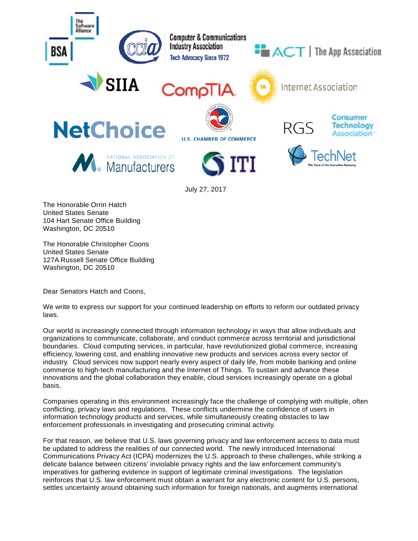

The Honorable Orrin Hatch United States Senate 104 Hart Senate Office Building Washington, DC 20510

The Honorable Christopher Coons United States Senate 127A Russell Senate Office Building Washington, DC 20510

Dear Senators Hatch and Coons,

We write to express our support for your continued leadership on efforts to reform our outdated privacy laws.

Our world is increasingly connected through information technology in ways that allow individuals and organizations to communicate, collaborate, and conduct commerce across territorial and jurisdictional boundaries. Cloud computing services, in particular, have revolutionized global commerce, increasing efficiency, lowering cost, and enabling innovative new products and services across every sector of industry. Cloud services now support nearly every aspect of daily life, from mobile banking and online commerce to high-tech manufacturing and the Internet of Things. To sustain and advance these innovations and the global collaboration they enable, cloud services increasingly operate on a global basis.

Companies operating in this environment increasingly face the challenge of complying with multiple, often conflicting, privacy laws and regulations. These conflicts undermine the confidence of users in information technology products and services, while simultaneously creating obstacles to law enforcement professionals in investigating and prosecuting criminal activity.

For that reason, we believe that U.S. laws governing privacy and law enforcement access to data must be updated to address the realities of our connected world. The newly introduced International Communications Privacy Act (ICPA) modernizes the U.S. approach to these challenges, while striking a delicate balance between citizens' inviolable privacy rights and the law enforcement community's imperatives for gathering evidence in support of legitimate criminal investigations. The legislation reinforces that U.S. law enforcement must obtain a warrant for any electronic content for U.S. persons, settles uncertainty around obtaining such information for foreign nationals, and augments international